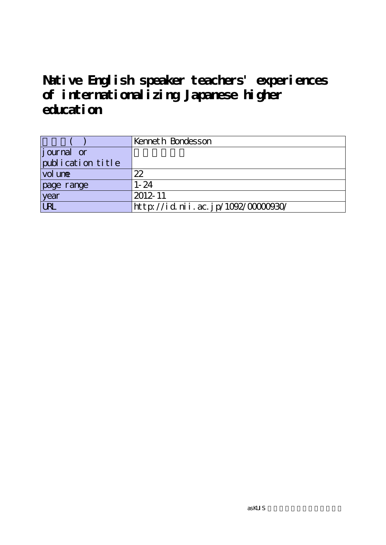# **Native English speaker teachers' experiences of internationalizing Japanese higher education**

|                   | Kenneth Bondesson                 |
|-------------------|-----------------------------------|
| journal or        |                                   |
| publication title |                                   |
| vol une           | 22                                |
| page range        | $1 - 24$                          |
| year              | 2012-11                           |
| URL               | http://id.nii.ac.jp/1092/0000030/ |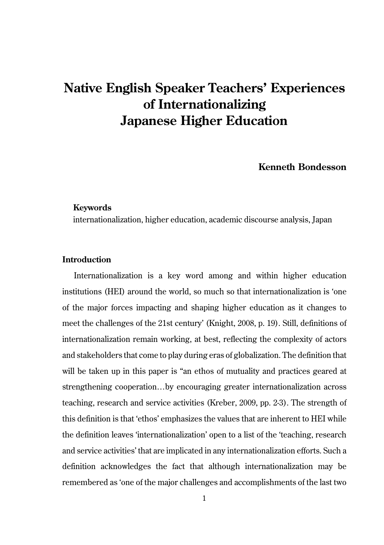## **Native English Speaker Teachers' Experiences of Internationalizing Japanese Higher Education**

**Kenneth Bondesson**

#### **Keywords**

internationalization, higher education, academic discourse analysis, Japan

### **Introduction**

Internationalization is a key word among and within higher education institutions (HEI) around the world, so much so that internationalization is 'one of the major forces impacting and shaping higher education as it changes to meet the challenges of the 21st century' (Knight, 2008, p. 19). Still, definitions of internationalization remain working, at best, reflecting the complexity of actors and stakeholders that come to play during eras of globalization. The definition that will be taken up in this paper is "an ethos of mutuality and practices geared at strengthening cooperation…by encouraging greater internationalization across teaching, research and service activities (Kreber, 2009, pp. 2-3). The strength of this definition is that 'ethos' emphasizes the values that are inherent to HEI while the definition leaves 'internationalization' open to a list of the 'teaching, research and service activities' that are implicated in any internationalization efforts. Such a definition acknowledges the fact that although internationalization may be remembered as 'one of the major challenges and accomplishments of the last two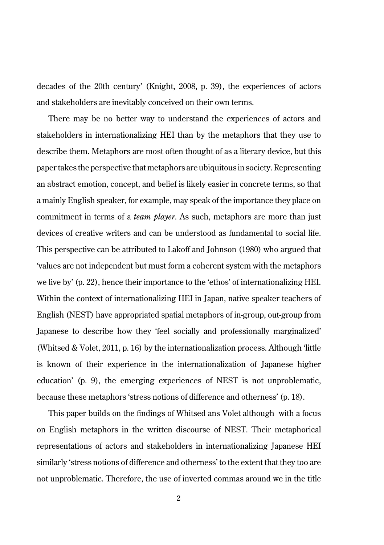decades of the 20th century' (Knight, 2008, p. 39), the experiences of actors and stakeholders are inevitably conceived on their own terms.

There may be no better way to understand the experiences of actors and stakeholders in internationalizing HEI than by the metaphors that they use to describe them. Metaphors are most often thought of as a literary device, but this paper takes the perspective that metaphors are ubiquitous in society. Representing an abstract emotion, concept, and belief is likely easier in concrete terms, so that a mainly English speaker, for example, may speak of the importance they place on commitment in terms of a *team player*. As such, metaphors are more than just devices of creative writers and can be understood as fundamental to social life. This perspective can be attributed to Lakoff and Johnson (1980) who argued that 'values are not independent but must form a coherent system with the metaphors we live by' (p. 22), hence their importance to the 'ethos' of internationalizing HEI. Within the context of internationalizing HEI in Japan, native speaker teachers of English (NEST) have appropriated spatial metaphors of in-group, out-group from Japanese to describe how they 'feel socially and professionally marginalized' (Whitsed & Volet, 2011, p. 16) by the internationalization process. Although 'little is known of their experience in the internationalization of Japanese higher education' (p. 9), the emerging experiences of NEST is not unproblematic, because these metaphors 'stress notions of difference and otherness' (p. 18).

This paper builds on the findings of Whitsed ans Volet although with a focus on English metaphors in the written discourse of NEST. Their metaphorical representations of actors and stakeholders in internationalizing Japanese HEI similarly 'stress notions of difference and otherness' to the extent that they too are not unproblematic. Therefore, the use of inverted commas around we in the title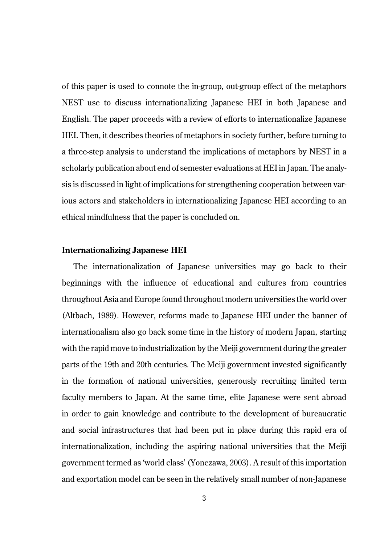of this paper is used to connote the in-group, out-group effect of the metaphors NEST use to discuss internationalizing Japanese HEI in both Japanese and English. The paper proceeds with a review of efforts to internationalize Japanese HEI. Then, it describes theories of metaphors in society further, before turning to a three-step analysis to understand the implications of metaphors by NEST in a scholarly publication about end of semester evaluations at HEI in Japan. The analysis is discussed in light of implications for strengthening cooperation between various actors and stakeholders in internationalizing Japanese HEI according to an ethical mindfulness that the paper is concluded on.

#### **Internationalizing Japanese HEI**

The internationalization of Japanese universities may go back to their beginnings with the influence of educational and cultures from countries throughout Asia and Europe found throughout modern universities the world over (Altbach, 1989). However, reforms made to Japanese HEI under the banner of internationalism also go back some time in the history of modern Japan, starting with the rapid move to industrialization by the Meiji government during the greater parts of the 19th and 20th centuries. The Meiji government invested significantly in the formation of national universities, generously recruiting limited term faculty members to Japan. At the same time, elite Japanese were sent abroad in order to gain knowledge and contribute to the development of bureaucratic and social infrastructures that had been put in place during this rapid era of internationalization, including the aspiring national universities that the Meiji government termed as 'world class' (Yonezawa, 2003). A result of this importation and exportation model can be seen in the relatively small number of non-Japanese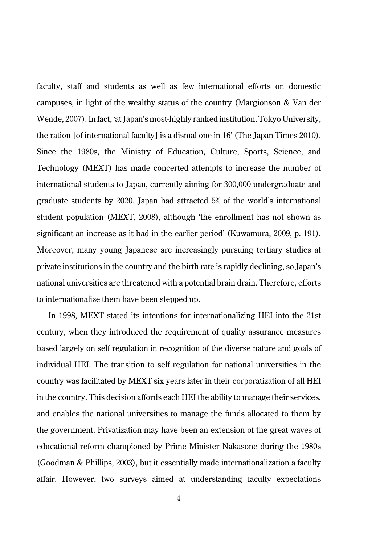faculty, staff and students as well as few international efforts on domestic campuses, in light of the wealthy status of the country (Margionson & Van der Wende, 2007). In fact, 'at Japan's most-highly ranked institution, Tokyo University, the ration [of international faculty] is a dismal one-in-16' (The Japan Times 2010). Since the 1980s, the Ministry of Education, Culture, Sports, Science, and Technology (MEXT) has made concerted attempts to increase the number of international students to Japan, currently aiming for 300,000 undergraduate and graduate students by 2020. Japan had attracted 5% of the world's international student population (MEXT, 2008), although 'the enrollment has not shown as significant an increase as it had in the earlier period' (Kuwamura, 2009, p. 191). Moreover, many young Japanese are increasingly pursuing tertiary studies at private institutions in the country and the birth rate is rapidly declining, so Japan's national universities are threatened with a potential brain drain. Therefore, efforts to internationalize them have been stepped up.

In 1998, MEXT stated its intentions for internationalizing HEI into the 21st century, when they introduced the requirement of quality assurance measures based largely on self regulation in recognition of the diverse nature and goals of individual HEI. The transition to self regulation for national universities in the country was facilitated by MEXT six years later in their corporatization of all HEI in the country. This decision affords each HEI the ability to manage their services, and enables the national universities to manage the funds allocated to them by the government. Privatization may have been an extension of the great waves of educational reform championed by Prime Minister Nakasone during the 1980s (Goodman & Phillips, 2003), but it essentially made internationalization a faculty affair. However, two surveys aimed at understanding faculty expectations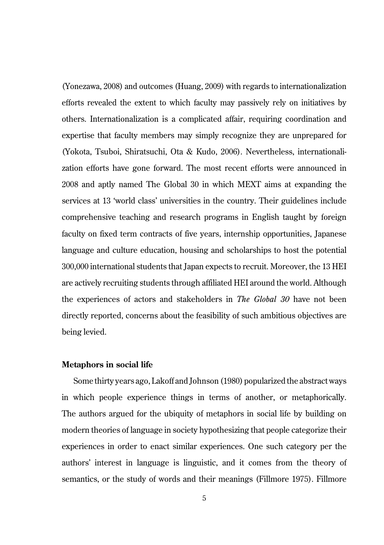(Yonezawa, 2008) and outcomes (Huang, 2009) with regards to internationalization efforts revealed the extent to which faculty may passively rely on initiatives by others. Internationalization is a complicated affair, requiring coordination and expertise that faculty members may simply recognize they are unprepared for (Yokota, Tsuboi, Shiratsuchi, Ota & Kudo, 2006). Nevertheless, internationalization efforts have gone forward. The most recent efforts were announced in 2008 and aptly named The Global 30 in which MEXT aims at expanding the services at 13 'world class' universities in the country. Their guidelines include comprehensive teaching and research programs in English taught by foreign faculty on fixed term contracts of five years, internship opportunities, Japanese language and culture education, housing and scholarships to host the potential 300,000 international students that Japan expects to recruit. Moreover, the 13 HEI are actively recruiting students through affiliated HEI around the world. Although the experiences of actors and stakeholders in *The Global 30* have not been directly reported, concerns about the feasibility of such ambitious objectives are being levied.

#### **Metaphors in social life**

Some thirty years ago, Lakoff and Johnson (1980) popularized the abstract ways in which people experience things in terms of another, or metaphorically. The authors argued for the ubiquity of metaphors in social life by building on modern theories of language in society hypothesizing that people categorize their experiences in order to enact similar experiences. One such category per the authors' interest in language is linguistic, and it comes from the theory of semantics, or the study of words and their meanings (Fillmore 1975). Fillmore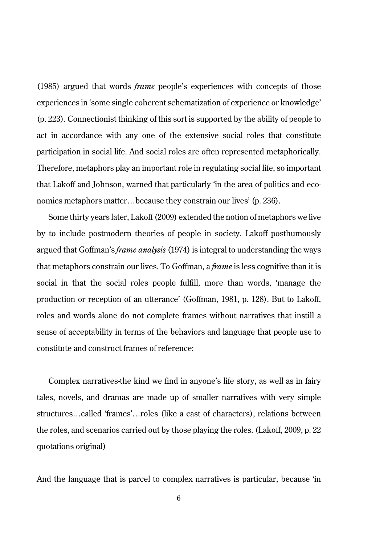(1985) argued that words *frame* people's experiences with concepts of those experiences in 'some single coherent schematization of experience or knowledge' (p. 223). Connectionist thinking of this sort is supported by the ability of people to act in accordance with any one of the extensive social roles that constitute participation in social life. And social roles are often represented metaphorically. Therefore, metaphors play an important role in regulating social life, so important that Lakoff and Johnson, warned that particularly 'in the area of politics and economics metaphors matter...because they constrain our lives' (p. 236).

Some thirty years later, Lakoff (2009) extended the notion of metaphors we live by to include postmodern theories of people in society. Lakoff posthumously argued that Goffman's *frame analysis* (1974) is integral to understanding the ways that metaphors constrain our lives. To Goffman, a *frame* is less cognitive than it is social in that the social roles people fulfill, more than words, 'manage the production or reception of an utterance' (Goffman, 1981, p. 128). But to Lakoff, roles and words alone do not complete frames without narratives that instill a sense of acceptability in terms of the behaviors and language that people use to constitute and construct frames of reference:

Complex narratives-the kind we find in anyone's life story, as well as in fairy tales, novels, and dramas are made up of smaller narratives with very simple structures…called 'frames'…roles (like a cast of characters), relations between the roles, and scenarios carried out by those playing the roles. (Lakoff, 2009, p. 22 quotations original)

And the language that is parcel to complex narratives is particular, because 'in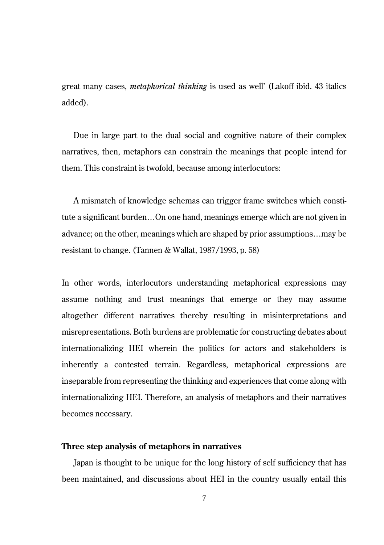great many cases, *metaphorical thinking* is used as well' (Lakoff ibid. 43 italics added).

Due in large part to the dual social and cognitive nature of their complex narratives, then, metaphors can constrain the meanings that people intend for them. This constraint is twofold, because among interlocutors:

A mismatch of knowledge schemas can trigger frame switches which constitute a significant burden…On one hand, meanings emerge which are not given in advance; on the other, meanings which are shaped by prior assumptions…may be resistant to change. (Tannen & Wallat, 1987/1993, p. 58)

In other words, interlocutors understanding metaphorical expressions may assume nothing and trust meanings that emerge or they may assume altogether different narratives thereby resulting in misinterpretations and misrepresentations. Both burdens are problematic for constructing debates about internationalizing HEI wherein the politics for actors and stakeholders is inherently a contested terrain. Regardless, metaphorical expressions are inseparable from representing the thinking and experiences that come along with internationalizing HEI. Therefore, an analysis of metaphors and their narratives becomes necessary.

#### **Three step analysis of metaphors in narratives**

Japan is thought to be unique for the long history of self sufficiency that has been maintained, and discussions about HEI in the country usually entail this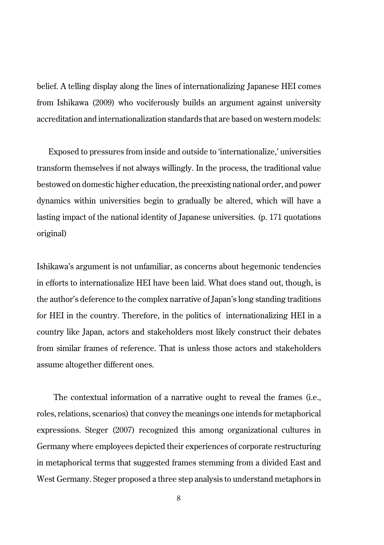belief. A telling display along the lines of internationalizing Japanese HEI comes from Ishikawa (2009) who vociferously builds an argument against university accreditation and internationalization standards that are based on western models:

Exposed to pressures from inside and outside to 'internationalize,' universities transform themselves if not always willingly. In the process, the traditional value bestowed on domestic higher education, the preexisting national order, and power dynamics within universities begin to gradually be altered, which will have a lasting impact of the national identity of Japanese universities. (p. 171 quotations original)

Ishikawa's argument is not unfamiliar, as concerns about hegemonic tendencies in efforts to internationalize HEI have been laid. What does stand out, though, is the author's deference to the complex narrative of Japan's long standing traditions for HEI in the country. Therefore, in the politics of internationalizing HEI in a country like Japan, actors and stakeholders most likely construct their debates from similar frames of reference. That is unless those actors and stakeholders assume altogether different ones.

The contextual information of a narrative ought to reveal the frames (i.e., roles, relations, scenarios) that convey the meanings one intends for metaphorical expressions. Steger (2007) recognized this among organizational cultures in Germany where employees depicted their experiences of corporate restructuring in metaphorical terms that suggested frames stemming from a divided East and West Germany. Steger proposed a three step analysis to understand metaphors in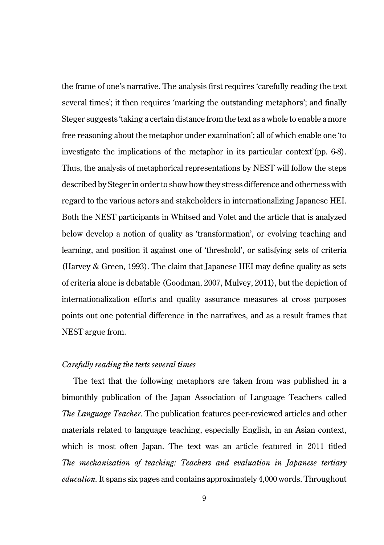the frame of one's narrative. The analysis first requires 'carefully reading the text several times'; it then requires 'marking the outstanding metaphors'; and finally Steger suggests 'taking a certain distance from the text as a whole to enable a more free reasoning about the metaphor under examination'; all of which enable one 'to investigate the implications of the metaphor in its particular context'(pp. 6-8). Thus, the analysis of metaphorical representations by NEST will follow the steps described by Steger in order to show how they stress difference and otherness with regard to the various actors and stakeholders in internationalizing Japanese HEI. Both the NEST participants in Whitsed and Volet and the article that is analyzed below develop a notion of quality as 'transformation', or evolving teaching and learning, and position it against one of 'threshold', or satisfying sets of criteria (Harvey & Green, 1993). The claim that Japanese HEI may define quality as sets of criteria alone is debatable (Goodman, 2007, Mulvey, 2011), but the depiction of internationalization efforts and quality assurance measures at cross purposes points out one potential difference in the narratives, and as a result frames that NEST argue from.

#### *Carefully reading the texts several times*

The text that the following metaphors are taken from was published in a bimonthly publication of the Japan Association of Language Teachers called *The Language Teacher*. The publication features peer-reviewed articles and other materials related to language teaching, especially English, in an Asian context, which is most often Japan. The text was an article featured in 2011 titled *The mechanization of teaching: Teachers and evaluation in Japanese tertiary education.* It spans six pages and contains approximately 4,000 words. Throughout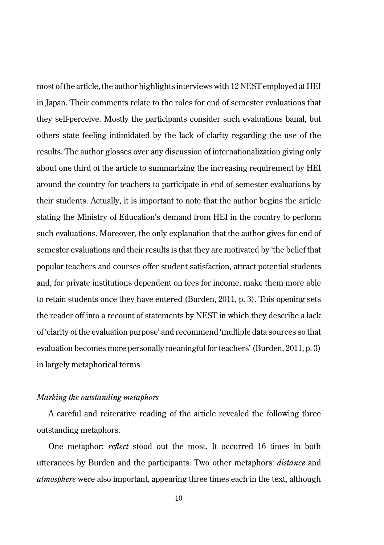most of the article, the author highlights interviews with 12 NEST employed at HEI in Japan. Their comments relate to the roles for end of semester evaluations that they self-perceive. Mostly the participants consider such evaluations banal, but others state feeling intimidated by the lack of clarity regarding the use of the results. The author glosses over any discussion of internationalization giving only about one third of the article to summarizing the increasing requirement by HEI around the country for teachers to participate in end of semester evaluations by their students. Actually, it is important to note that the author begins the article stating the Ministry of Education's demand from HEI in the country to perform such evaluations. Moreover, the only explanation that the author gives for end of semester evaluations and their results is that they are motivated by 'the belief that popular teachers and courses offer student satisfaction, attract potential students and, for private institutions dependent on fees for income, make them more able to retain students once they have entered (Burden, 2011, p. 3). This opening sets the reader off into a recount of statements by NEST in which they describe a lack of 'clarity of the evaluation purpose' and recommend 'multiple data sources so that evaluation becomes more personally meaningful for teachers' (Burden, 2011, p. 3) in largely metaphorical terms.

#### *Marking the outstanding metaphors*

A careful and reiterative reading of the article revealed the following three outstanding metaphors.

One metaphor: *reflect* stood out the most. It occurred 16 times in both utterances by Burden and the participants. Two other metaphors: *distance* and *atmosphere* were also important, appearing three times each in the text, although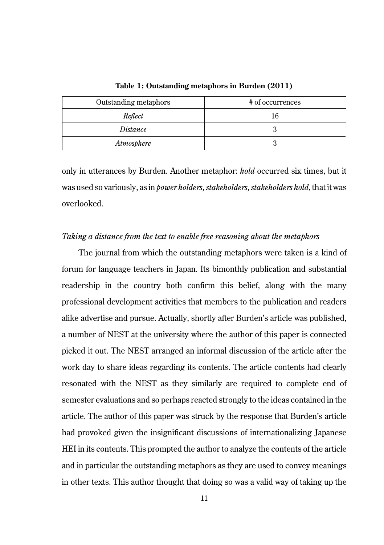| Outstanding metaphors | # of occurrences |
|-----------------------|------------------|
| Reflect               | 16               |
| Distance              |                  |
| Atmosphere            |                  |

**Table 1: Outstanding metaphors in Burden (2011)**

only in utterances by Burden. Another metaphor: *hold* occurred six times, but it was used so variously, as in *power holders, stakeholders, stakeholders hold*, that it was overlooked.

#### *Taking a distance from the text to enable free reasoning about the metaphors*

The journal from which the outstanding metaphors were taken is a kind of forum for language teachers in Japan. Its bimonthly publication and substantial readership in the country both confirm this belief, along with the many professional development activities that members to the publication and readers alike advertise and pursue. Actually, shortly after Burden's article was published, a number of NEST at the university where the author of this paper is connected picked it out. The NEST arranged an informal discussion of the article after the work day to share ideas regarding its contents. The article contents had clearly resonated with the NEST as they similarly are required to complete end of semester evaluations and so perhaps reacted strongly to the ideas contained in the article. The author of this paper was struck by the response that Burden's article had provoked given the insignificant discussions of internationalizing Japanese HEI in its contents. This prompted the author to analyze the contents of the article and in particular the outstanding metaphors as they are used to convey meanings in other texts. This author thought that doing so was a valid way of taking up the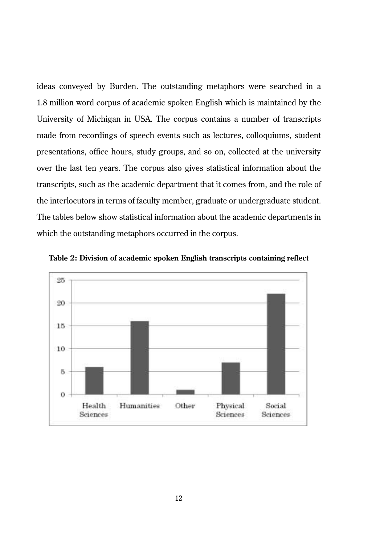ideas conveyed by Burden. The outstanding metaphors were searched in a 1.8 million word corpus of academic spoken English which is maintained by the University of Michigan in USA. The corpus contains a number of transcripts made from recordings of speech events such as lectures, colloquiums, student presentations, office hours, study groups, and so on, collected at the university over the last ten years. The corpus also gives statistical information about the transcripts, such as the academic department that it comes from, and the role of the interlocutors in terms of faculty member, graduate or undergraduate student. The tables below show statistical information about the academic departments in which the outstanding metaphors occurred in the corpus.



**Table 2: Division of academic spoken English transcripts containing reflect**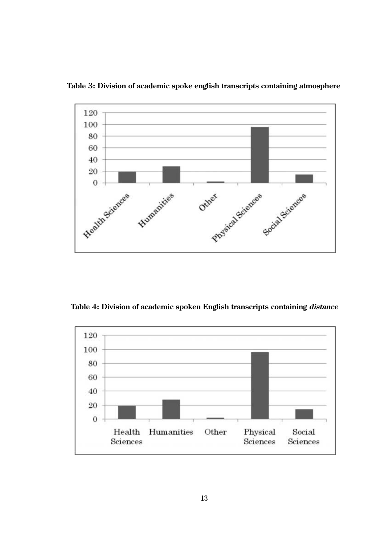

**Table 3: Division of academic spoke english transcripts containing atmosphere**

**Table 4: Division of academic spoken English transcripts containing distance**

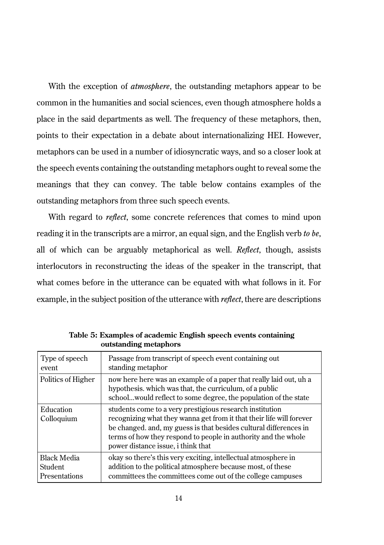With the exception of *atmosphere*, the outstanding metaphors appear to be common in the humanities and social sciences, even though atmosphere holds a place in the said departments as well. The frequency of these metaphors, then, points to their expectation in a debate about internationalizing HEI. However, metaphors can be used in a number of idiosyncratic ways, and so a closer look at the speech events containing the outstanding metaphors ought to reveal some the meanings that they can convey. The table below contains examples of the outstanding metaphors from three such speech events.

With regard to *reflect*, some concrete references that comes to mind upon reading it in the transcripts are a mirror, an equal sign, and the English verb *to be*, all of which can be arguably metaphorical as well. *Reflect*, though, assists interlocutors in reconstructing the ideas of the speaker in the transcript, that what comes before in the utterance can be equated with what follows in it. For example, in the subject position of the utterance with *reflect*, there are descriptions

| Type of speech          | Passage from transcript of speech event containing out                                                                                                                                                                                                                                                        |
|-------------------------|---------------------------------------------------------------------------------------------------------------------------------------------------------------------------------------------------------------------------------------------------------------------------------------------------------------|
| event.                  | standing metaphor                                                                                                                                                                                                                                                                                             |
| Politics of Higher      | now here here was an example of a paper that really laid out, uh a<br>hypothesis. which was that, the curriculum, of a public<br>schoolwould reflect to some degree, the population of the state                                                                                                              |
| Education<br>Colloquium | students come to a very prestigious research institution<br>recognizing what they wanna get from it that their life will forever<br>be changed, and, my guess is that besides cultural differences in<br>terms of how they respond to people in authority and the whole<br>power distance issue, i think that |
| <b>Black Media</b>      | okay so there's this very exciting, intellectual atmosphere in                                                                                                                                                                                                                                                |
| <b>Student</b>          | addition to the political atmosphere because most, of these                                                                                                                                                                                                                                                   |
| Presentations           | committees the committees come out of the college campuses                                                                                                                                                                                                                                                    |

**Table 5: Examples of academic English speech events containing outstanding metaphors**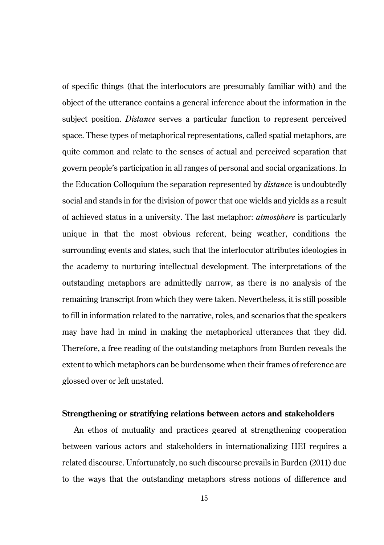of specific things (that the interlocutors are presumably familiar with) and the object of the utterance contains a general inference about the information in the subject position. *Distance* serves a particular function to represent perceived space. These types of metaphorical representations, called spatial metaphors, are quite common and relate to the senses of actual and perceived separation that govern people's participation in all ranges of personal and social organizations. In the Education Colloquium the separation represented by *distanc*e is undoubtedly social and stands in for the division of power that one wields and yields as a result of achieved status in a university. The last metaphor: *atmosphere* is particularly unique in that the most obvious referent, being weather, conditions the surrounding events and states, such that the interlocutor attributes ideologies in the academy to nurturing intellectual development. The interpretations of the outstanding metaphors are admittedly narrow, as there is no analysis of the remaining transcript from which they were taken. Nevertheless, it is still possible to fill in information related to the narrative, roles, and scenarios that the speakers may have had in mind in making the metaphorical utterances that they did. Therefore, a free reading of the outstanding metaphors from Burden reveals the extent to which metaphors can be burdensome when their frames of reference are glossed over or left unstated.

#### **Strengthening or stratifying relations between actors and stakeholders**

An ethos of mutuality and practices geared at strengthening cooperation between various actors and stakeholders in internationalizing HEI requires a related discourse. Unfortunately, no such discourse prevails in Burden (2011) due to the ways that the outstanding metaphors stress notions of difference and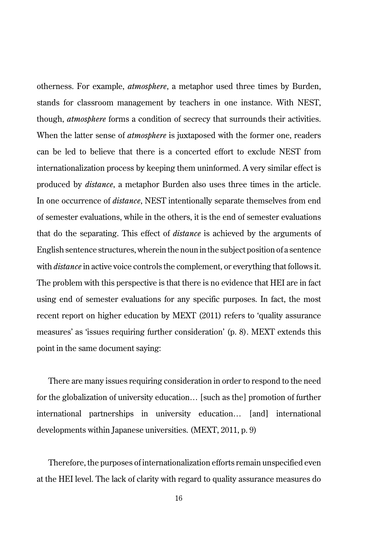otherness. For example, *atmosphere*, a metaphor used three times by Burden, stands for classroom management by teachers in one instance. With NEST, though, *atmosphere* forms a condition of secrecy that surrounds their activities. When the latter sense of *atmosphere* is juxtaposed with the former one, readers can be led to believe that there is a concerted effort to exclude NEST from internationalization process by keeping them uninformed. A very similar effect is produced by *distance*, a metaphor Burden also uses three times in the article. In one occurrence of *distance*, NEST intentionally separate themselves from end of semester evaluations, while in the others, it is the end of semester evaluations that do the separating. This effect of *distance* is achieved by the arguments of English sentence structures, wherein the noun in the subject position of a sentence with *distance* in active voice controls the complement, or everything that follows it. The problem with this perspective is that there is no evidence that HEI are in fact using end of semester evaluations for any specific purposes. In fact, the most recent report on higher education by MEXT (2011) refers to 'quality assurance measures' as 'issues requiring further consideration' (p. 8). MEXT extends this point in the same document saying:

There are many issues requiring consideration in order to respond to the need for the globalization of university education... [such as the] promotion of further international partnerships in university education… [and] international developments within Japanese universities. (MEXT, 2011, p. 9)

Therefore, the purposes of internationalization efforts remain unspecified even at the HEI level. The lack of clarity with regard to quality assurance measures do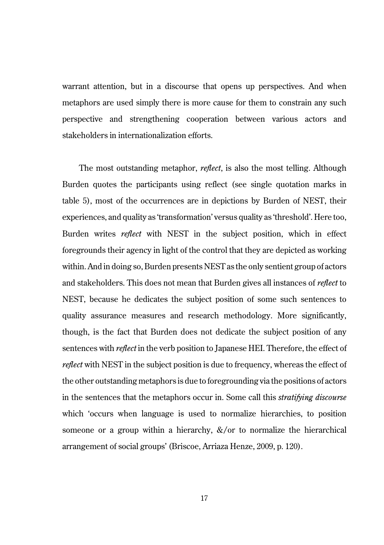warrant attention, but in a discourse that opens up perspectives. And when metaphors are used simply there is more cause for them to constrain any such perspective and strengthening cooperation between various actors and stakeholders in internationalization efforts.

The most outstanding metaphor, *reflect*, is also the most telling. Although Burden quotes the participants using reflect (see single quotation marks in table 5), most of the occurrences are in depictions by Burden of NEST, their experiences, and quality as 'transformation' versus quality as 'threshold'. Here too, Burden writes *reflect* with NEST in the subject position, which in effect foregrounds their agency in light of the control that they are depicted as working within. And in doing so, Burden presents NEST as the only sentient group of actors and stakeholders. This does not mean that Burden gives all instances of *reflect* to NEST, because he dedicates the subject position of some such sentences to quality assurance measures and research methodology. More significantly, though, is the fact that Burden does not dedicate the subject position of any sentences with *reflect* in the verb position to Japanese HEI. Therefore, the effect of *reflect* with NEST in the subject position is due to frequency, whereas the effect of the other outstanding metaphors is due to foregrounding via the positions of actors in the sentences that the metaphors occur in. Some call this *stratifying discourse* which 'occurs when language is used to normalize hierarchies, to position someone or a group within a hierarchy,  $\&\/$  or to normalize the hierarchical arrangement of social groups' (Briscoe, Arriaza Henze, 2009, p. 120).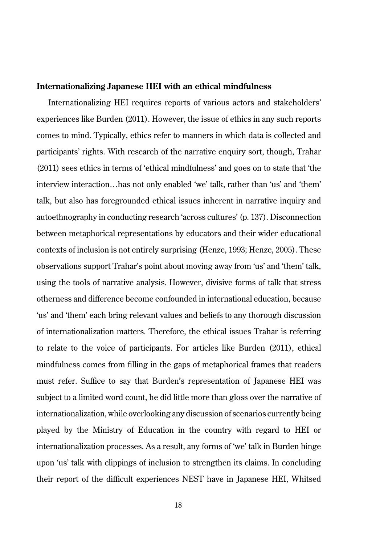#### **Internationalizing Japanese HEI with an ethical mindfulness**

Internationalizing HEI requires reports of various actors and stakeholders' experiences like Burden (2011). However, the issue of ethics in any such reports comes to mind. Typically, ethics refer to manners in which data is collected and participants' rights. With research of the narrative enquiry sort, though, Trahar (2011) sees ethics in terms of 'ethical mindfulness' and goes on to state that 'the interview interaction…has not only enabled 'we' talk, rather than 'us' and 'them' talk, but also has foregrounded ethical issues inherent in narrative inquiry and autoethnography in conducting research 'across cultures' (p. 137). Disconnection between metaphorical representations by educators and their wider educational contexts of inclusion is not entirely surprising (Henze, 1993; Henze, 2005). These observations support Trahar's point about moving away from 'us' and 'them' talk, using the tools of narrative analysis. However, divisive forms of talk that stress otherness and difference become confounded in international education, because 'us' and 'them' each bring relevant values and beliefs to any thorough discussion of internationalization matters. Therefore, the ethical issues Trahar is referring to relate to the voice of participants. For articles like Burden (2011), ethical mindfulness comes from filling in the gaps of metaphorical frames that readers must refer. Suffice to say that Burden's representation of Japanese HEI was subject to a limited word count, he did little more than gloss over the narrative of internationalization, while overlooking any discussion of scenarios currently being played by the Ministry of Education in the country with regard to HEI or internationalization processes. As a result, any forms of 'we' talk in Burden hinge upon 'us' talk with clippings of inclusion to strengthen its claims. In concluding their report of the difficult experiences NEST have in Japanese HEI, Whitsed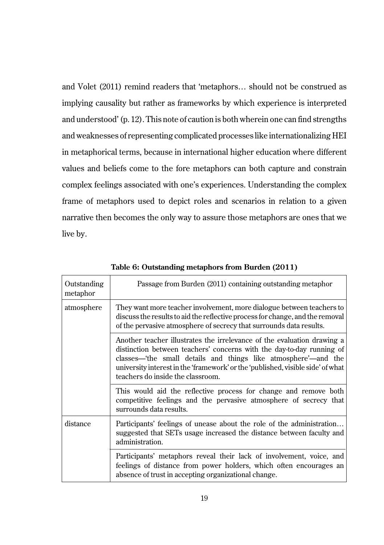and Volet (2011) remind readers that 'metaphors… should not be construed as implying causality but rather as frameworks by which experience is interpreted and understood' (p. 12). This note of caution is both wherein one can find strengths and weaknesses of representing complicated processes like internationalizing HEI in metaphorical terms, because in international higher education where different values and beliefs come to the fore metaphors can both capture and constrain complex feelings associated with one's experiences. Understanding the complex frame of metaphors used to depict roles and scenarios in relation to a given narrative then becomes the only way to assure those metaphors are ones that we live by.

| Outstanding<br>metaphor | Passage from Burden (2011) containing outstanding metaphor                                                                                                                                                                                                                                                                                |
|-------------------------|-------------------------------------------------------------------------------------------------------------------------------------------------------------------------------------------------------------------------------------------------------------------------------------------------------------------------------------------|
| atmosphere              | They want more teacher involvement, more dialogue between teachers to<br>discuss the results to aid the reflective process for change, and the removal<br>of the pervasive atmosphere of secrecy that surrounds data results.                                                                                                             |
|                         | Another teacher illustrates the irrelevance of the evaluation drawing a<br>distinction between teachers' concerns with the day-to-day running of<br>classes—the small details and things like atmosphere'—and the<br>university interest in the 'framework' or the 'published, visible side' of what<br>teachers do inside the classroom. |
|                         | This would aid the reflective process for change and remove both<br>competitive feelings and the pervasive atmosphere of secrecy that<br>surrounds data results.                                                                                                                                                                          |
| distance                | Participants' feelings of unease about the role of the administration<br>suggested that SETs usage increased the distance between faculty and<br>administration.                                                                                                                                                                          |
|                         | Participants' metaphors reveal their lack of involvement, voice, and<br>feelings of distance from power holders, which often encourages an<br>absence of trust in accepting organizational change.                                                                                                                                        |

**Table 6: Outstanding metaphors from Burden (2011)**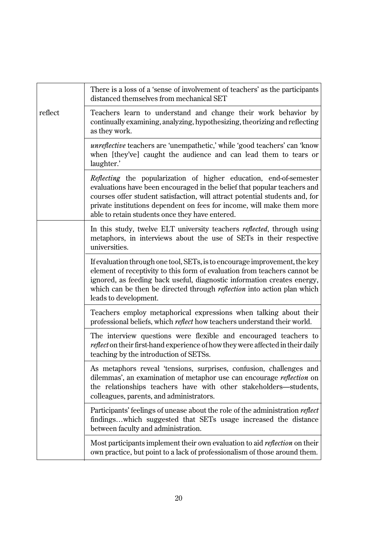|         | There is a loss of a 'sense of involvement of teachers' as the participants<br>distanced themselves from mechanical SET                                                                                                                                                                                                                                            |
|---------|--------------------------------------------------------------------------------------------------------------------------------------------------------------------------------------------------------------------------------------------------------------------------------------------------------------------------------------------------------------------|
| reflect | Teachers learn to understand and change their work behavior by<br>continually examining, analyzing, hypothesizing, theorizing and reflecting<br>as they work.                                                                                                                                                                                                      |
|         | <i>unreflective</i> teachers are 'unempathetic,' while 'good teachers' can 'know<br>when [they've] caught the audience and can lead them to tears or<br>laughter.'                                                                                                                                                                                                 |
|         | <i>Reflecting</i> the popularization of higher education, end-of-semester<br>evaluations have been encouraged in the belief that popular teachers and<br>courses offer student satisfaction, will attract potential students and, for<br>private institutions dependent on fees for income, will make them more<br>able to retain students once they have entered. |
|         | In this study, twelve ELT university teachers <i>reflected</i> , through using<br>metaphors, in interviews about the use of SETs in their respective<br>universities.                                                                                                                                                                                              |
|         | If evaluation through one tool, SETs, is to encourage improvement, the key<br>element of receptivity to this form of evaluation from teachers cannot be<br>ignored, as feeding back useful, diagnostic information creates energy,<br>which can be then be directed through <i>reflection</i> into action plan which<br>leads to development.                      |
|         | Teachers employ metaphorical expressions when talking about their<br>professional beliefs, which reflect how teachers understand their world.                                                                                                                                                                                                                      |
|         | The interview questions were flexible and encouraged teachers to<br>reflect on their first-hand experience of how they were affected in their daily<br>teaching by the introduction of SETSs.                                                                                                                                                                      |
|         | As metaphors reveal 'tensions, surprises, confusion, challenges and<br>dilemmas', an examination of metaphor use can encourage <i>reflection</i> on<br>the relationships teachers have with other stakeholders-students,<br>colleagues, parents, and administrators.                                                                                               |
|         | Participants' feelings of unease about the role of the administration <i>reflect</i><br>findingswhich suggested that SETs usage increased the distance<br>between faculty and administration.                                                                                                                                                                      |
|         | Most participants implement their own evaluation to aid <i>reflection</i> on their<br>own practice, but point to a lack of professionalism of those around them.                                                                                                                                                                                                   |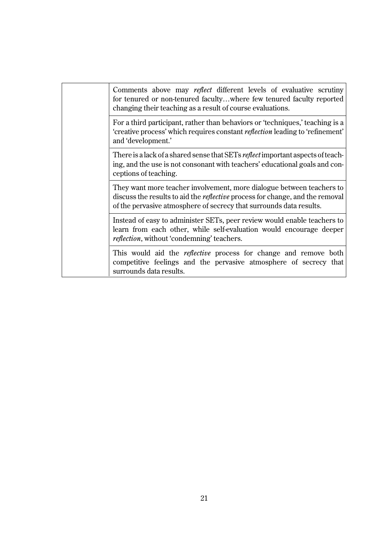|  | Comments above may reflect different levels of evaluative scrutiny<br>for tenured or non-tenured facultywhere few tenured faculty reported<br>changing their teaching as a result of course evaluations.                             |
|--|--------------------------------------------------------------------------------------------------------------------------------------------------------------------------------------------------------------------------------------|
|  | For a third participant, rather than behaviors or 'techniques,' teaching is a<br>'creative process' which requires constant <i>reflection</i> leading to 'refinement'<br>and 'development.'                                          |
|  | There is a lack of a shared sense that SETs <i>reflect</i> important aspects of teach-<br>ing, and the use is not consonant with teachers' educational goals and con-<br>ceptions of teaching.                                       |
|  | They want more teacher involvement, more dialogue between teachers to<br>discuss the results to aid the <i>reflective</i> process for change, and the removal<br>of the pervasive atmosphere of secrecy that surrounds data results. |
|  | Instead of easy to administer SETs, peer review would enable teachers to<br>learn from each other, while self-evaluation would encourage deeper<br><i>reflection</i> , without 'condemning' teachers.                                |
|  | This would aid the <i>reflective</i> process for change and remove both<br>competitive feelings and the pervasive atmosphere of secrecy that<br>surrounds data results.                                                              |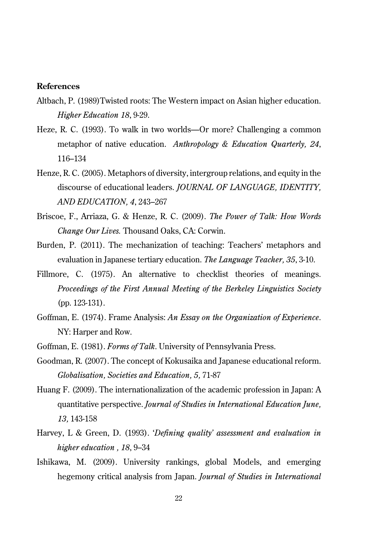#### **References**

- Altbach, P. (1989)Twisted roots: The Western impact on Asian higher education. *Higher Education 18*, 9-29.
- Heze, R. C. (1993). To walk in two worlds—Or more? Challenging a common metaphor of native education. *Anthropology & Education Quarterly, 24*, 116–134
- Henze, R. C. (2005). Metaphors of diversity, intergroup relations, and equity in the discourse of educational leaders. *JOURNAL OF LANGUAGE, IDENTITY, AND EDUCATION, 4*, 243–267
- Briscoe, F., Arriaza, G. & Henze, R. C. (2009). *The Power of Talk: How Words Change Our Lives.* Thousand Oaks, CA: Corwin.
- Burden, P. (2011). The mechanization of teaching: Teachers' metaphors and evaluation in Japanese tertiary education. *The Language Teacher, 35*, 3-10.
- Fillmore, C. (1975). An alternative to checklist theories of meanings. *Proceedings of the First Annual Meeting of the Berkeley Linguistics Society* (pp. 123-131).
- Goffman, E. (1974). Frame Analysis: *An Essay on the Organization of Experience*. NY: Harper and Row.
- Goffman, E. (1981). *Forms of Talk*. University of Pennsylvania Press.
- Goodman, R. (2007). The concept of Kokusaika and Japanese educational reform. *Globalisation, Societies and Education, 5,* 71-87
- Huang F. (2009). The internationalization of the academic profession in Japan: A quantitative perspective. *Journal of Studies in International Education June, 13,* 143-158
- Harvey, L & Green, D. (1993). '*Defining quality' assessment and evaluation in higher education , 18*, 9–34
- Ishikawa, M. (2009). University rankings, global Models, and emerging hegemony critical analysis from Japan. *Journal of Studies in International*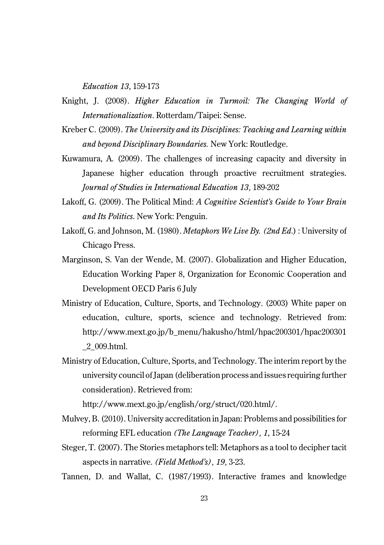*Education 13*, 159-173

- Knight, J. (2008). *Higher Education in Turmoil: The Changing World of Internationalization*. Rotterdam/Taipei: Sense.
- Kreber C. (2009). *The University and its Disciplines: Teaching and Learning within and beyond Disciplinary Boundaries.* New York: Routledge.
- Kuwamura, A. (2009). The challenges of increasing capacity and diversity in Japanese higher education through proactive recruitment strategies. *Journal of Studies in International Education 13,* 189-202
- Lakoff, G. (2009). The Political Mind: *A Cognitive Scientist's Guide to Your Brain and Its Politics*. New York: Penguin.
- Lakoff, G. and Johnson, M. (1980). *Metaphors We Live By. (2nd Ed*.) : University of Chicago Press.
- Marginson, S. Van der Wende, M. (2007). Globalization and Higher Education, Education Working Paper 8, Organization for Economic Cooperation and Development OECD Paris 6 July
- Ministry of Education, Culture, Sports, and Technology. (2003) White paper on education, culture, sports, science and technology. Retrieved from: http://www.mext.go.jp/b\_menu/hakusho/html/hpac200301/hpac200301 \_2\_009.html.
- Ministry of Education, Culture, Sports, and Technology. The interim report by the university council of Japan (deliberation process and issues requiring further consideration). Retrieved from:

http://www.mext.go.jp/english/org/struct/020.html/.

- Mulvey, B. (2010). University accreditation in Japan: Problems and possibilities for reforming EFL education *(The Language Teacher), 1*, 15-24
- Steger, T. (2007). The Stories metaphors tell: Metaphors as a tool to decipher tacit aspects in narrative. *(Field Method's), 19,* 3-23.
- Tannen, D. and Wallat, C. (1987/1993). Interactive frames and knowledge